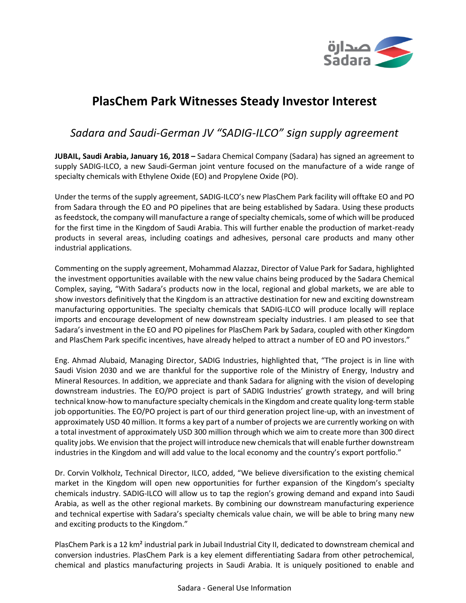

# **PlasChem Park Witnesses Steady Investor Interest**

## *Sadara and Saudi-German JV "SADIG-ILCO" sign supply agreement*

**JUBAIL, Saudi Arabia, January 16, 2018 –** Sadara Chemical Company (Sadara) has signed an agreement to supply SADIG-ILCO, a new Saudi-German joint venture focused on the manufacture of a wide range of specialty chemicals with Ethylene Oxide (EO) and Propylene Oxide (PO).

Under the terms of the supply agreement, SADIG-ILCO's new PlasChem Park facility will offtake EO and PO from Sadara through the EO and PO pipelines that are being established by Sadara. Using these products as feedstock, the company will manufacture a range of specialty chemicals, some of which will be produced for the first time in the Kingdom of Saudi Arabia. This will further enable the production of market-ready products in several areas, including coatings and adhesives, personal care products and many other industrial applications.

Commenting on the supply agreement, Mohammad Alazzaz, Director of Value Park for Sadara, highlighted the investment opportunities available with the new value chains being produced by the Sadara Chemical Complex, saying, "With Sadara's products now in the local, regional and global markets, we are able to show investors definitively that the Kingdom is an attractive destination for new and exciting downstream manufacturing opportunities. The specialty chemicals that SADIG-ILCO will produce locally will replace imports and encourage development of new downstream specialty industries. I am pleased to see that Sadara's investment in the EO and PO pipelines for PlasChem Park by Sadara, coupled with other Kingdom and PlasChem Park specific incentives, have already helped to attract a number of EO and PO investors."

Eng. Ahmad Alubaid, Managing Director, SADIG Industries, highlighted that, "The project is in line with Saudi Vision 2030 and we are thankful for the supportive role of the Ministry of Energy, Industry and Mineral Resources. In addition, we appreciate and thank Sadara for aligning with the vision of developing downstream industries. The EO/PO project is part of SADIG Industries' growth strategy, and will bring technical know-how to manufacture specialty chemicals in the Kingdom and create quality long-term stable job opportunities. The EO/PO project is part of our third generation project line-up, with an investment of approximately USD 40 million. It forms a key part of a number of projects we are currently working on with a total investment of approximately USD 300 million through which we aim to create more than 300 direct quality jobs. We envision that the project will introduce new chemicals that will enable further downstream industries in the Kingdom and will add value to the local economy and the country's export portfolio."

Dr. Corvin Volkholz, Technical Director, ILCO, added, "We believe diversification to the existing chemical market in the Kingdom will open new opportunities for further expansion of the Kingdom's specialty chemicals industry. SADIG-ILCO will allow us to tap the region's growing demand and expand into Saudi Arabia, as well as the other regional markets. By combining our downstream manufacturing experience and technical expertise with Sadara's specialty chemicals value chain, we will be able to bring many new and exciting products to the Kingdom."

PlasChem Park is a 12 km² industrial park in Jubail Industrial City II, dedicated to downstream chemical and conversion industries. PlasChem Park is a key element differentiating Sadara from other petrochemical, chemical and plastics manufacturing projects in Saudi Arabia. It is uniquely positioned to enable and